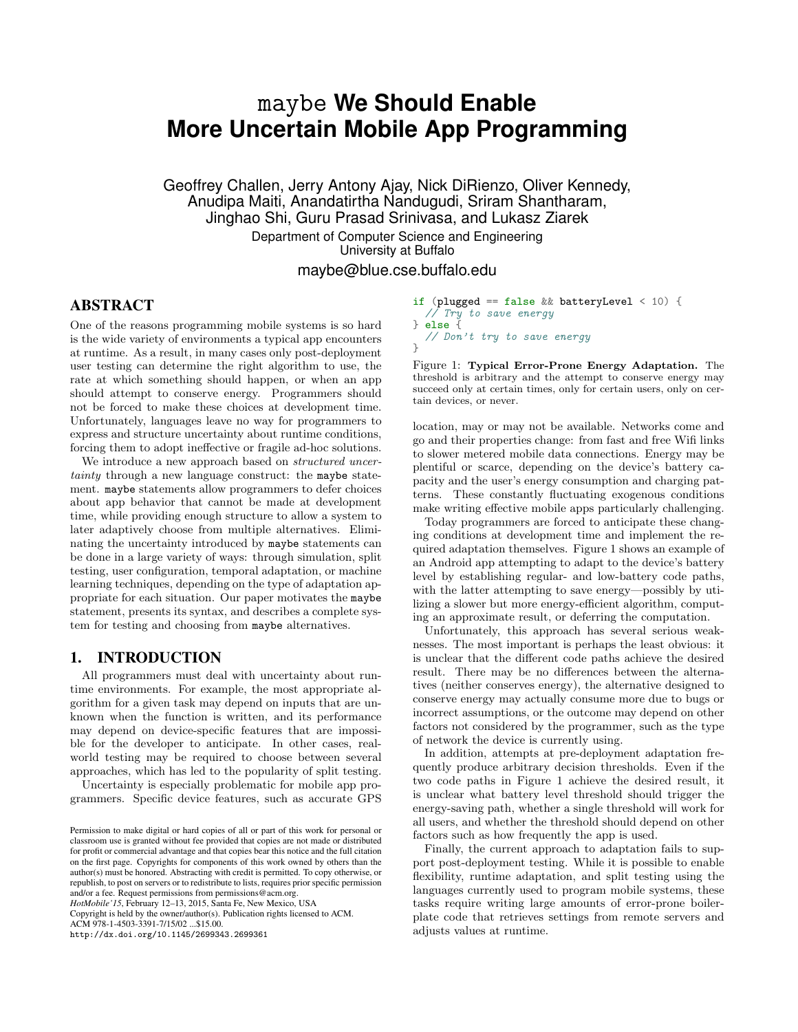# maybe **We Should Enable More Uncertain Mobile App Programming**

Geoffrey Challen, Jerry Antony Ajay, Nick DiRienzo, Oliver Kennedy, Anudipa Maiti, Anandatirtha Nandugudi, Sriram Shantharam, Jinghao Shi, Guru Prasad Srinivasa, and Lukasz Ziarek

> Department of Computer Science and Engineering University at Buffalo

> > maybe@blue.cse.buffalo.edu

## ABSTRACT

One of the reasons programming mobile systems is so hard is the wide variety of environments a typical app encounters at runtime. As a result, in many cases only post-deployment user testing can determine the right algorithm to use, the rate at which something should happen, or when an app should attempt to conserve energy. Programmers should not be forced to make these choices at development time. Unfortunately, languages leave no way for programmers to express and structure uncertainty about runtime conditions, forcing them to adopt ineffective or fragile ad-hoc solutions.

We introduce a new approach based on *structured uncer*tainty through a new language construct: the maybe statement. maybe statements allow programmers to defer choices about app behavior that cannot be made at development time, while providing enough structure to allow a system to later adaptively choose from multiple alternatives. Eliminating the uncertainty introduced by maybe statements can be done in a large variety of ways: through simulation, split testing, user configuration, temporal adaptation, or machine learning techniques, depending on the type of adaptation appropriate for each situation. Our paper motivates the maybe statement, presents its syntax, and describes a complete system for testing and choosing from maybe alternatives.

# 1. INTRODUCTION

All programmers must deal with uncertainty about runtime environments. For example, the most appropriate algorithm for a given task may depend on inputs that are unknown when the function is written, and its performance may depend on device-specific features that are impossible for the developer to anticipate. In other cases, realworld testing may be required to choose between several approaches, which has led to the popularity of split testing.

Uncertainty is especially problematic for mobile app programmers. Specific device features, such as accurate GPS

*HotMobile'15*, February 12–13, 2015, Santa Fe, New Mexico, USA

Copyright is held by the owner/author(s). Publication rights licensed to ACM.

ACM 978-1-4503-3391-7/15/02 ...\$15.00.

<http://dx.doi.org/10.1145/2699343.2699361>

<span id="page-0-0"></span>

| if (plugged == false && batteryLevel < 10) { |  |  |
|----------------------------------------------|--|--|
| // Try to save energy                        |  |  |
| $\}$ else $\{$                               |  |  |
| // Don't try to save energy                  |  |  |
|                                              |  |  |

Figure 1: Typical Error-Prone Energy Adaptation. The threshold is arbitrary and the attempt to conserve energy may succeed only at certain times, only for certain users, only on certain devices, or never.

location, may or may not be available. Networks come and go and their properties change: from fast and free Wifi links to slower metered mobile data connections. Energy may be plentiful or scarce, depending on the device's battery capacity and the user's energy consumption and charging patterns. These constantly fluctuating exogenous conditions make writing effective mobile apps particularly challenging.

Today programmers are forced to anticipate these changing conditions at development time and implement the required adaptation themselves. Figure [1](#page-0-0) shows an example of an Android app attempting to adapt to the device's battery level by establishing regular- and low-battery code paths, with the latter attempting to save energy—possibly by utilizing a slower but more energy-efficient algorithm, computing an approximate result, or deferring the computation.

Unfortunately, this approach has several serious weaknesses. The most important is perhaps the least obvious: it is unclear that the different code paths achieve the desired result. There may be no differences between the alternatives (neither conserves energy), the alternative designed to conserve energy may actually consume more due to bugs or incorrect assumptions, or the outcome may depend on other factors not considered by the programmer, such as the type of network the device is currently using.

In addition, attempts at pre-deployment adaptation frequently produce arbitrary decision thresholds. Even if the two code paths in Figure [1](#page-0-0) achieve the desired result, it is unclear what battery level threshold should trigger the energy-saving path, whether a single threshold will work for all users, and whether the threshold should depend on other factors such as how frequently the app is used.

Finally, the current approach to adaptation fails to support post-deployment testing. While it is possible to enable flexibility, runtime adaptation, and split testing using the languages currently used to program mobile systems, these tasks require writing large amounts of error-prone boilerplate code that retrieves settings from remote servers and adjusts values at runtime.

Permission to make digital or hard copies of all or part of this work for personal or classroom use is granted without fee provided that copies are not made or distributed for profit or commercial advantage and that copies bear this notice and the full citation on the first page. Copyrights for components of this work owned by others than the author(s) must be honored. Abstracting with credit is permitted. To copy otherwise, or republish, to post on servers or to redistribute to lists, requires prior specific permission and/or a fee. Request permissions from [permissions@acm.org.](mailto:permissions@acm.org)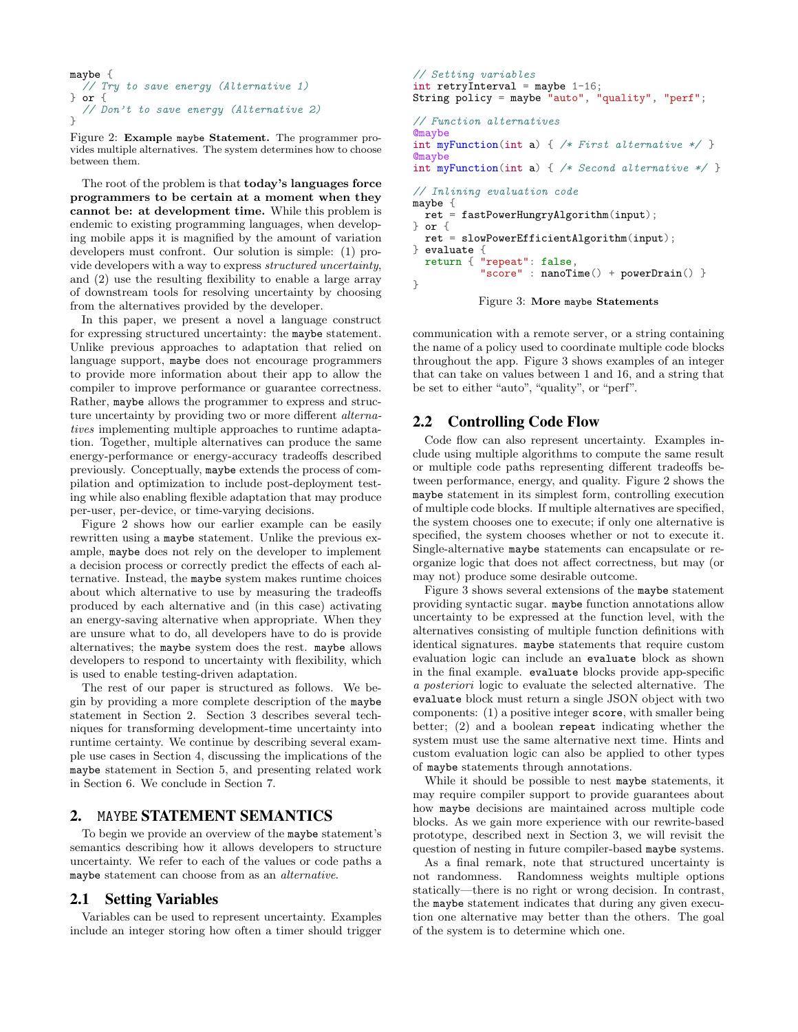```
maybe {
 // Try to save energy (Alternative 1)
} or {
 // Don't to save energy (Alternative 2)
}
```
Figure 2: Example maybe Statement. The programmer provides multiple alternatives. The system determines how to choose between them.

The root of the problem is that today's languages force programmers to be certain at a moment when they cannot be: at development time. While this problem is endemic to existing programming languages, when developing mobile apps it is magnified by the amount of variation developers must confront. Our solution is simple: (1) provide developers with a way to express structured uncertainty, and (2) use the resulting flexibility to enable a large array of downstream tools for resolving uncertainty by choosing from the alternatives provided by the developer.

In this paper, we present a novel a language construct for expressing structured uncertainty: the maybe statement. Unlike previous approaches to adaptation that relied on language support, maybe does not encourage programmers to provide more information about their app to allow the compiler to improve performance or guarantee correctness. Rather, maybe allows the programmer to express and structure uncertainty by providing two or more different *alterna*tives implementing multiple approaches to runtime adaptation. Together, multiple alternatives can produce the same energy-performance or energy-accuracy tradeoffs described previously. Conceptually, maybe extends the process of compilation and optimization to include post-deployment testing while also enabling flexible adaptation that may produce per-user, per-device, or time-varying decisions.

Figure [2](#page-1-0) shows how our earlier example can be easily rewritten using a maybe statement. Unlike the previous example, maybe does not rely on the developer to implement a decision process or correctly predict the effects of each alternative. Instead, the maybe system makes runtime choices about which alternative to use by measuring the tradeoffs produced by each alternative and (in this case) activating an energy-saving alternative when appropriate. When they are unsure what to do, all developers have to do is provide alternatives; the maybe system does the rest. maybe allows developers to respond to uncertainty with flexibility, which is used to enable testing-driven adaptation.

The rest of our paper is structured as follows. We begin by providing a more complete description of the maybe statement in Section [2.](#page-1-1) Section [3](#page-2-0) describes several techniques for transforming development-time uncertainty into runtime certainty. We continue by describing several example use cases in Section [4,](#page-4-0) discussing the implications of the maybe statement in Section [5,](#page-4-1) and presenting related work in Section [6.](#page-5-0) We conclude in Section [7.](#page-5-1)

# <span id="page-1-1"></span>2. MAYBE STATEMENT SEMANTICS

To begin we provide an overview of the maybe statement's semantics describing how it allows developers to structure uncertainty. We refer to each of the values or code paths a maybe statement can choose from as an alternative.

### 2.1 Setting Variables

Variables can be used to represent uncertainty. Examples include an integer storing how often a timer should trigger

```
// Setting variables
int retryInterval = maybe 1-16;
String policy = maybe "auto", "quality", "perf";
// Function alternatives
Qmaybe
int myFunction(int a) { /* First alternative */ }
Cmaybe
int myFunction(int a) { /* Second alternative */ }
// Inlining evaluation code
maybe {
  ret = fastPowerHungryAlgorithm(input);
} or {
 ret = slowPowerEfficientAlgorithm(input);
} evaluate {<br>return { ""repeat": false,
           "score" : nanoTime() + powerDrain() }
}
```


communication with a remote server, or a string containing the name of a policy used to coordinate multiple code blocks throughout the app. Figure [3](#page-1-2) shows examples of an integer that can take on values between 1 and 16, and a string that be set to either "auto", "quality", or "perf".

# 2.2 Controlling Code Flow

Code flow can also represent uncertainty. Examples include using multiple algorithms to compute the same result or multiple code paths representing different tradeoffs between performance, energy, and quality. Figure [2](#page-1-0) shows the maybe statement in its simplest form, controlling execution of multiple code blocks. If multiple alternatives are specified, the system chooses one to execute; if only one alternative is specified, the system chooses whether or not to execute it. Single-alternative maybe statements can encapsulate or reorganize logic that does not affect correctness, but may (or may not) produce some desirable outcome.

Figure [3](#page-1-2) shows several extensions of the maybe statement providing syntactic sugar. maybe function annotations allow uncertainty to be expressed at the function level, with the alternatives consisting of multiple function definitions with identical signatures. maybe statements that require custom evaluation logic can include an evaluate block as shown in the final example. evaluate blocks provide app-specific a posteriori logic to evaluate the selected alternative. The evaluate block must return a single JSON object with two components: (1) a positive integer score, with smaller being better; (2) and a boolean repeat indicating whether the system must use the same alternative next time. Hints and custom evaluation logic can also be applied to other types of maybe statements through annotations.

While it should be possible to nest maybe statements, it may require compiler support to provide guarantees about how maybe decisions are maintained across multiple code blocks. As we gain more experience with our rewrite-based prototype, described next in Section [3,](#page-2-0) we will revisit the question of nesting in future compiler-based maybe systems.

As a final remark, note that structured uncertainty is not randomness. Randomness weights multiple options statically—there is no right or wrong decision. In contrast, the maybe statement indicates that during any given execution one alternative may better than the others. The goal of the system is to determine which one.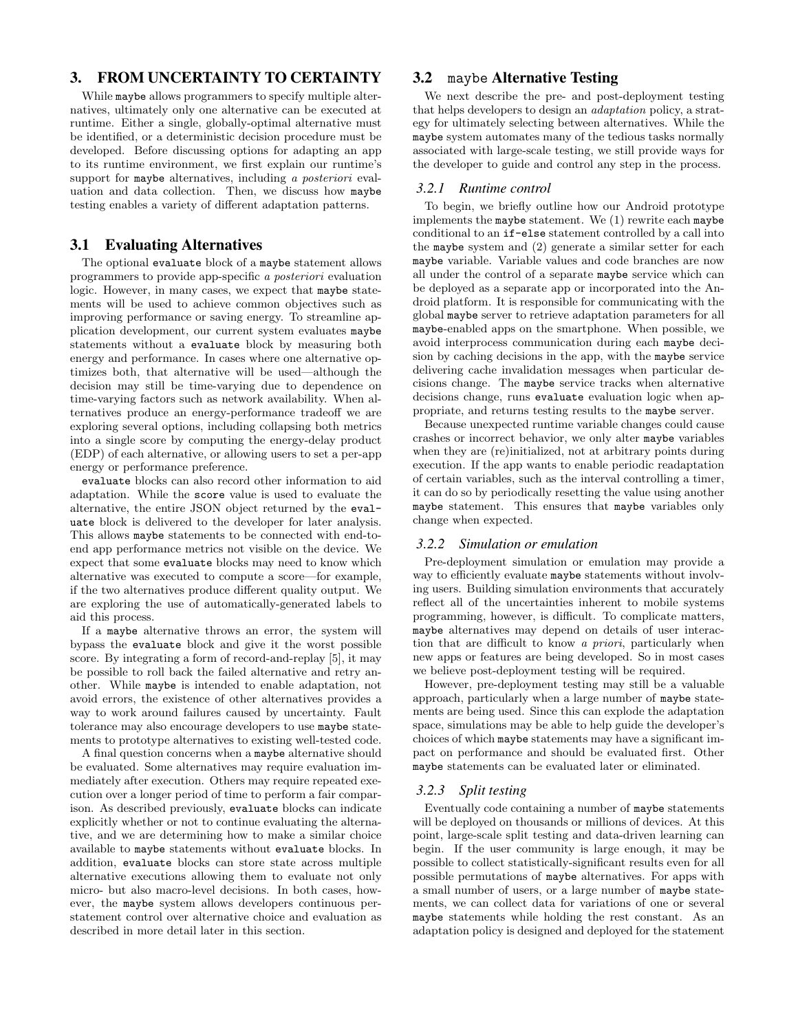# <span id="page-2-0"></span>3. FROM UNCERTAINTY TO CERTAINTY

While maybe allows programmers to specify multiple alternatives, ultimately only one alternative can be executed at runtime. Either a single, globally-optimal alternative must be identified, or a deterministic decision procedure must be developed. Before discussing options for adapting an app to its runtime environment, we first explain our runtime's support for maybe alternatives, including a posteriori evaluation and data collection. Then, we discuss how maybe testing enables a variety of different adaptation patterns.

# 3.1 Evaluating Alternatives

The optional evaluate block of a maybe statement allows programmers to provide app-specific a posteriori evaluation logic. However, in many cases, we expect that maybe statements will be used to achieve common objectives such as improving performance or saving energy. To streamline application development, our current system evaluates maybe statements without a evaluate block by measuring both energy and performance. In cases where one alternative optimizes both, that alternative will be used—although the decision may still be time-varying due to dependence on time-varying factors such as network availability. When alternatives produce an energy-performance tradeoff we are exploring several options, including collapsing both metrics into a single score by computing the energy-delay product (EDP) of each alternative, or allowing users to set a per-app energy or performance preference.

evaluate blocks can also record other information to aid adaptation. While the score value is used to evaluate the alternative, the entire JSON object returned by the evaluate block is delivered to the developer for later analysis. This allows maybe statements to be connected with end-toend app performance metrics not visible on the device. We expect that some evaluate blocks may need to know which alternative was executed to compute a score—for example, if the two alternatives produce different quality output. We are exploring the use of automatically-generated labels to aid this process.

If a maybe alternative throws an error, the system will bypass the evaluate block and give it the worst possible score. By integrating a form of record-and-replay [\[5\]](#page-5-2), it may be possible to roll back the failed alternative and retry another. While maybe is intended to enable adaptation, not avoid errors, the existence of other alternatives provides a way to work around failures caused by uncertainty. Fault tolerance may also encourage developers to use maybe statements to prototype alternatives to existing well-tested code.

A final question concerns when a maybe alternative should be evaluated. Some alternatives may require evaluation immediately after execution. Others may require repeated execution over a longer period of time to perform a fair comparison. As described previously, evaluate blocks can indicate explicitly whether or not to continue evaluating the alternative, and we are determining how to make a similar choice available to maybe statements without evaluate blocks. In addition, evaluate blocks can store state across multiple alternative executions allowing them to evaluate not only micro- but also macro-level decisions. In both cases, however, the maybe system allows developers continuous perstatement control over alternative choice and evaluation as described in more detail later in this section.

# 3.2 maybe Alternative Testing

We next describe the pre- and post-deployment testing that helps developers to design an adaptation policy, a strategy for ultimately selecting between alternatives. While the maybe system automates many of the tedious tasks normally associated with large-scale testing, we still provide ways for the developer to guide and control any step in the process.

#### *3.2.1 Runtime control*

To begin, we briefly outline how our Android prototype implements the maybe statement. We (1) rewrite each maybe conditional to an if-else statement controlled by a call into the maybe system and (2) generate a similar setter for each maybe variable. Variable values and code branches are now all under the control of a separate maybe service which can be deployed as a separate app or incorporated into the Android platform. It is responsible for communicating with the global maybe server to retrieve adaptation parameters for all maybe-enabled apps on the smartphone. When possible, we avoid interprocess communication during each maybe decision by caching decisions in the app, with the maybe service delivering cache invalidation messages when particular decisions change. The maybe service tracks when alternative decisions change, runs evaluate evaluation logic when appropriate, and returns testing results to the maybe server.

Because unexpected runtime variable changes could cause crashes or incorrect behavior, we only alter maybe variables when they are (re)initialized, not at arbitrary points during execution. If the app wants to enable periodic readaptation of certain variables, such as the interval controlling a timer, it can do so by periodically resetting the value using another maybe statement. This ensures that maybe variables only change when expected.

#### *3.2.2 Simulation or emulation*

Pre-deployment simulation or emulation may provide a way to efficiently evaluate maybe statements without involving users. Building simulation environments that accurately reflect all of the uncertainties inherent to mobile systems programming, however, is difficult. To complicate matters, maybe alternatives may depend on details of user interaction that are difficult to know a priori, particularly when new apps or features are being developed. So in most cases we believe post-deployment testing will be required.

However, pre-deployment testing may still be a valuable approach, particularly when a large number of maybe statements are being used. Since this can explode the adaptation space, simulations may be able to help guide the developer's choices of which maybe statements may have a significant impact on performance and should be evaluated first. Other maybe statements can be evaluated later or eliminated.

#### *3.2.3 Split testing*

Eventually code containing a number of maybe statements will be deployed on thousands or millions of devices. At this point, large-scale split testing and data-driven learning can begin. If the user community is large enough, it may be possible to collect statistically-significant results even for all possible permutations of maybe alternatives. For apps with a small number of users, or a large number of maybe statements, we can collect data for variations of one or several maybe statements while holding the rest constant. As an adaptation policy is designed and deployed for the statement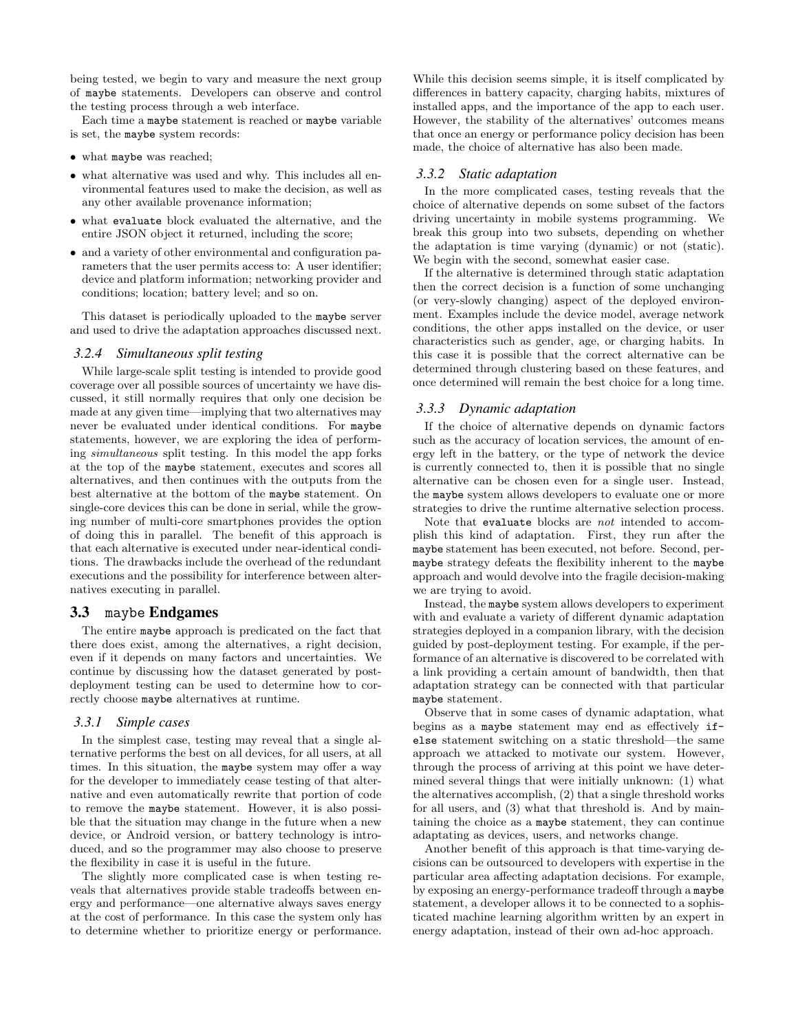being tested, we begin to vary and measure the next group of maybe statements. Developers can observe and control the testing process through a web interface.

Each time a maybe statement is reached or maybe variable is set, the maybe system records:

- what maybe was reached;
- what alternative was used and why. This includes all environmental features used to make the decision, as well as any other available provenance information;
- what evaluate block evaluated the alternative, and the entire JSON object it returned, including the score;
- and a variety of other environmental and configuration parameters that the user permits access to: A user identifier; device and platform information; networking provider and conditions; location; battery level; and so on.

This dataset is periodically uploaded to the maybe server and used to drive the adaptation approaches discussed next.

#### *3.2.4 Simultaneous split testing*

While large-scale split testing is intended to provide good coverage over all possible sources of uncertainty we have discussed, it still normally requires that only one decision be made at any given time—implying that two alternatives may never be evaluated under identical conditions. For maybe statements, however, we are exploring the idea of performing simultaneous split testing. In this model the app forks at the top of the maybe statement, executes and scores all alternatives, and then continues with the outputs from the best alternative at the bottom of the maybe statement. On single-core devices this can be done in serial, while the growing number of multi-core smartphones provides the option of doing this in parallel. The benefit of this approach is that each alternative is executed under near-identical conditions. The drawbacks include the overhead of the redundant executions and the possibility for interference between alternatives executing in parallel.

# 3.3 maybe Endgames

The entire maybe approach is predicated on the fact that there does exist, among the alternatives, a right decision, even if it depends on many factors and uncertainties. We continue by discussing how the dataset generated by postdeployment testing can be used to determine how to correctly choose maybe alternatives at runtime.

## *3.3.1 Simple cases*

In the simplest case, testing may reveal that a single alternative performs the best on all devices, for all users, at all times. In this situation, the maybe system may offer a way for the developer to immediately cease testing of that alternative and even automatically rewrite that portion of code to remove the maybe statement. However, it is also possible that the situation may change in the future when a new device, or Android version, or battery technology is introduced, and so the programmer may also choose to preserve the flexibility in case it is useful in the future.

The slightly more complicated case is when testing reveals that alternatives provide stable tradeoffs between energy and performance—one alternative always saves energy at the cost of performance. In this case the system only has to determine whether to prioritize energy or performance.

While this decision seems simple, it is itself complicated by differences in battery capacity, charging habits, mixtures of installed apps, and the importance of the app to each user. However, the stability of the alternatives' outcomes means that once an energy or performance policy decision has been made, the choice of alternative has also been made.

#### *3.3.2 Static adaptation*

In the more complicated cases, testing reveals that the choice of alternative depends on some subset of the factors driving uncertainty in mobile systems programming. We break this group into two subsets, depending on whether the adaptation is time varying (dynamic) or not (static). We begin with the second, somewhat easier case.

If the alternative is determined through static adaptation then the correct decision is a function of some unchanging (or very-slowly changing) aspect of the deployed environment. Examples include the device model, average network conditions, the other apps installed on the device, or user characteristics such as gender, age, or charging habits. In this case it is possible that the correct alternative can be determined through clustering based on these features, and once determined will remain the best choice for a long time.

#### *3.3.3 Dynamic adaptation*

If the choice of alternative depends on dynamic factors such as the accuracy of location services, the amount of energy left in the battery, or the type of network the device is currently connected to, then it is possible that no single alternative can be chosen even for a single user. Instead, the maybe system allows developers to evaluate one or more strategies to drive the runtime alternative selection process.

Note that evaluate blocks are not intended to accomplish this kind of adaptation. First, they run after the maybe statement has been executed, not before. Second, permaybe strategy defeats the flexibility inherent to the maybe approach and would devolve into the fragile decision-making we are trying to avoid.

Instead, the maybe system allows developers to experiment with and evaluate a variety of different dynamic adaptation strategies deployed in a companion library, with the decision guided by post-deployment testing. For example, if the performance of an alternative is discovered to be correlated with a link providing a certain amount of bandwidth, then that adaptation strategy can be connected with that particular maybe statement.

Observe that in some cases of dynamic adaptation, what begins as a maybe statement may end as effectively ifelse statement switching on a static threshold—the same approach we attacked to motivate our system. However, through the process of arriving at this point we have determined several things that were initially unknown: (1) what the alternatives accomplish, (2) that a single threshold works for all users, and  $(3)$  what that threshold is. And by maintaining the choice as a maybe statement, they can continue adaptating as devices, users, and networks change.

Another benefit of this approach is that time-varying decisions can be outsourced to developers with expertise in the particular area affecting adaptation decisions. For example, by exposing an energy-performance tradeoff through a maybe statement, a developer allows it to be connected to a sophisticated machine learning algorithm written by an expert in energy adaptation, instead of their own ad-hoc approach.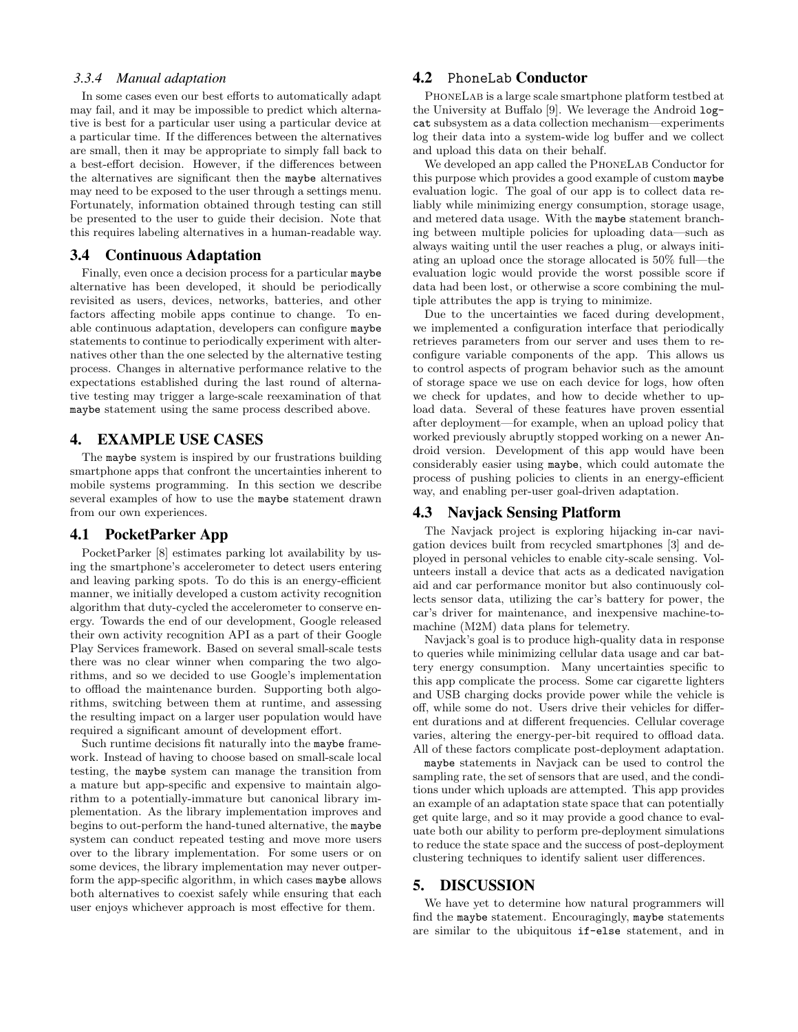#### *3.3.4 Manual adaptation*

In some cases even our best efforts to automatically adapt may fail, and it may be impossible to predict which alternative is best for a particular user using a particular device at a particular time. If the differences between the alternatives are small, then it may be appropriate to simply fall back to a best-effort decision. However, if the differences between the alternatives are significant then the maybe alternatives may need to be exposed to the user through a settings menu. Fortunately, information obtained through testing can still be presented to the user to guide their decision. Note that this requires labeling alternatives in a human-readable way.

#### 3.4 Continuous Adaptation

Finally, even once a decision process for a particular maybe alternative has been developed, it should be periodically revisited as users, devices, networks, batteries, and other factors affecting mobile apps continue to change. To enable continuous adaptation, developers can configure maybe statements to continue to periodically experiment with alternatives other than the one selected by the alternative testing process. Changes in alternative performance relative to the expectations established during the last round of alternative testing may trigger a large-scale reexamination of that maybe statement using the same process described above.

# <span id="page-4-0"></span>4. EXAMPLE USE CASES

The maybe system is inspired by our frustrations building smartphone apps that confront the uncertainties inherent to mobile systems programming. In this section we describe several examples of how to use the maybe statement drawn from our own experiences.

# 4.1 PocketParker App

PocketParker [\[8\]](#page-5-3) estimates parking lot availability by using the smartphone's accelerometer to detect users entering and leaving parking spots. To do this is an energy-efficient manner, we initially developed a custom activity recognition algorithm that duty-cycled the accelerometer to conserve energy. Towards the end of our development, Google released their own activity recognition API as a part of their Google Play Services framework. Based on several small-scale tests there was no clear winner when comparing the two algorithms, and so we decided to use Google's implementation to offload the maintenance burden. Supporting both algorithms, switching between them at runtime, and assessing the resulting impact on a larger user population would have required a significant amount of development effort.

Such runtime decisions fit naturally into the maybe framework. Instead of having to choose based on small-scale local testing, the maybe system can manage the transition from a mature but app-specific and expensive to maintain algorithm to a potentially-immature but canonical library implementation. As the library implementation improves and begins to out-perform the hand-tuned alternative, the maybe system can conduct repeated testing and move more users over to the library implementation. For some users or on some devices, the library implementation may never outperform the app-specific algorithm, in which cases maybe allows both alternatives to coexist safely while ensuring that each user enjoys whichever approach is most effective for them.

# 4.2 PhoneLab Conductor

PHONELAB is a large scale smartphone platform testbed at the University at Buffalo [\[9\]](#page-5-4). We leverage the Android logcat subsystem as a data collection mechanism—experiments log their data into a system-wide log buffer and we collect and upload this data on their behalf.

We developed an app called the PhoneLab Conductor for this purpose which provides a good example of custom maybe evaluation logic. The goal of our app is to collect data reliably while minimizing energy consumption, storage usage, and metered data usage. With the maybe statement branching between multiple policies for uploading data—such as always waiting until the user reaches a plug, or always initiating an upload once the storage allocated is 50% full—the evaluation logic would provide the worst possible score if data had been lost, or otherwise a score combining the multiple attributes the app is trying to minimize.

Due to the uncertainties we faced during development, we implemented a configuration interface that periodically retrieves parameters from our server and uses them to reconfigure variable components of the app. This allows us to control aspects of program behavior such as the amount of storage space we use on each device for logs, how often we check for updates, and how to decide whether to upload data. Several of these features have proven essential after deployment—for example, when an upload policy that worked previously abruptly stopped working on a newer Android version. Development of this app would have been considerably easier using maybe, which could automate the process of pushing policies to clients in an energy-efficient way, and enabling per-user goal-driven adaptation.

#### 4.3 Navjack Sensing Platform

The Navjack project is exploring hijacking in-car navigation devices built from recycled smartphones [\[3\]](#page-5-5) and deployed in personal vehicles to enable city-scale sensing. Volunteers install a device that acts as a dedicated navigation aid and car performance monitor but also continuously collects sensor data, utilizing the car's battery for power, the car's driver for maintenance, and inexpensive machine-tomachine (M2M) data plans for telemetry.

Navjack's goal is to produce high-quality data in response to queries while minimizing cellular data usage and car battery energy consumption. Many uncertainties specific to this app complicate the process. Some car cigarette lighters and USB charging docks provide power while the vehicle is off, while some do not. Users drive their vehicles for different durations and at different frequencies. Cellular coverage varies, altering the energy-per-bit required to offload data. All of these factors complicate post-deployment adaptation.

maybe statements in Navjack can be used to control the sampling rate, the set of sensors that are used, and the conditions under which uploads are attempted. This app provides an example of an adaptation state space that can potentially get quite large, and so it may provide a good chance to evaluate both our ability to perform pre-deployment simulations to reduce the state space and the success of post-deployment clustering techniques to identify salient user differences.

#### <span id="page-4-1"></span>5. DISCUSSION

We have yet to determine how natural programmers will find the maybe statement. Encouragingly, maybe statements are similar to the ubiquitous if-else statement, and in